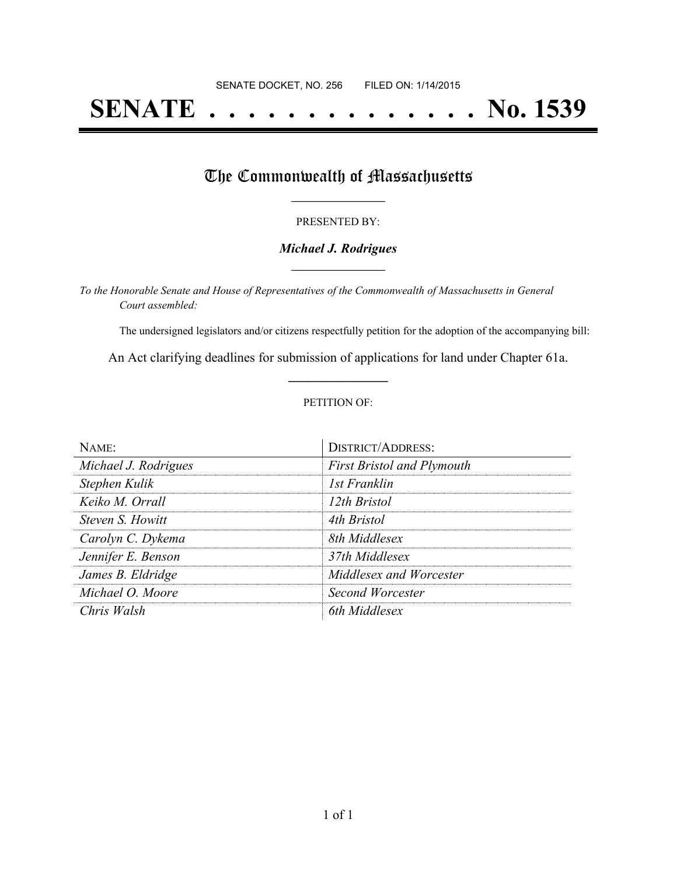## **SENATE . . . . . . . . . . . . . . No. 1539**

### The Commonwealth of Massachusetts

#### PRESENTED BY:

#### *Michael J. Rodrigues* **\_\_\_\_\_\_\_\_\_\_\_\_\_\_\_\_\_**

*To the Honorable Senate and House of Representatives of the Commonwealth of Massachusetts in General Court assembled:*

The undersigned legislators and/or citizens respectfully petition for the adoption of the accompanying bill:

An Act clarifying deadlines for submission of applications for land under Chapter 61a. **\_\_\_\_\_\_\_\_\_\_\_\_\_\_\_**

#### PETITION OF:

| $N$ AME:             | <b>DISTRICT/ADDRESS:</b>          |
|----------------------|-----------------------------------|
| Michael J. Rodrigues | <b>First Bristol and Plymouth</b> |
| Stephen Kulik        | 1st Franklin                      |
| Keiko M. Orrall      | 12th Bristol                      |
| Steven S. Howitt     | 4th Bristol                       |
| Carolyn C. Dykema    | 8th Middlesex                     |
| Jennifer E. Benson   | 37th Middlesex                    |
| James B. Eldridge    | Middlesex and Worcester           |
| Michael O. Moore     | Second Worcester                  |
| Chris Walsh          | 6th Middlesex                     |